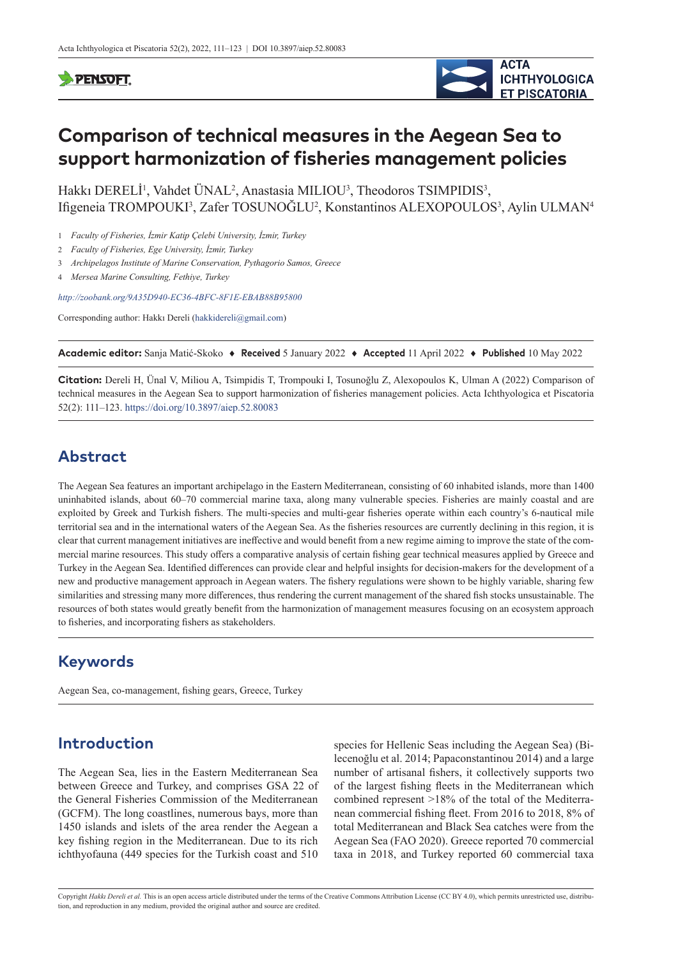#### **PENSOFT**



# **Comparison of technical measures in the Aegean Sea to support harmonization of fisheries management policies**

Hakkı DERELİ<sup>1</sup>, Vahdet ÜNAL<sup>2</sup>, Anastasia MILIOU<sup>3</sup>, Theodoros TSIMPIDIS<sup>3</sup>, Ifigeneia TROMPOUKI<sup>3</sup>, Zafer TOSUNOĞLU<sup>2</sup>, Konstantinos ALEXOPOULOS<sup>3</sup>, Aylin ULMAN<sup>4</sup>

1 *Faculty of Fisheries, İzmir Katip Çelebi University, İzmir, Turkey*

- 2 *Faculty of Fisheries, Ege University, İzmir, Turkey*
- 3 *Archipelagos Institute of Marine Conservation, Pythagorio Samos, Greece*
- 4 *Mersea Marine Consulting, Fethiye, Turkey*

*<http://zoobank.org/9A35D940-EC36-4BFC-8F1E-EBAB88B95800>*

Corresponding author: Hakkı Dereli ([hakkidereli@gmail.com](mailto:hakkidereli@gmail.com))

**Academic editor:** Sanja Matić-Skoko ♦ **Received** 5 January 2022 ♦ **Accepted** 11 April 2022 ♦ **Published** 10 May 2022

**Citation:** Dereli H, Ünal V, Miliou A, Tsimpidis T, Trompouki I, Tosunoğlu Z, Alexopoulos K, Ulman A (2022) Comparison of technical measures in the Aegean Sea to support harmonization of fisheries management policies. Acta Ichthyologica et Piscatoria 52(2): 111–123. <https://doi.org/10.3897/aiep.52.80083>

# **Abstract**

The Aegean Sea features an important archipelago in the Eastern Mediterranean, consisting of 60 inhabited islands, more than 1400 uninhabited islands, about 60–70 commercial marine taxa, along many vulnerable species. Fisheries are mainly coastal and are exploited by Greek and Turkish fishers. The multi-species and multi-gear fisheries operate within each country's 6-nautical mile territorial sea and in the international waters of the Aegean Sea. As the fisheries resources are currently declining in this region, it is clear that current management initiatives are ineffective and would benefit from a new regime aiming to improve the state of the commercial marine resources. This study offers a comparative analysis of certain fishing gear technical measures applied by Greece and Turkey in the Aegean Sea. Identified differences can provide clear and helpful insights for decision-makers for the development of a new and productive management approach in Aegean waters. The fishery regulations were shown to be highly variable, sharing few similarities and stressing many more differences, thus rendering the current management of the shared fish stocks unsustainable. The resources of both states would greatly benefit from the harmonization of management measures focusing on an ecosystem approach to fisheries, and incorporating fishers as stakeholders.

# **Keywords**

Aegean Sea, co-management, fishing gears, Greece, Turkey

# **Introduction**

The Aegean Sea, lies in the Eastern Mediterranean Sea between Greece and Turkey, and comprises GSA 22 of the General Fisheries Commission of the Mediterranean (GCFM). The long coastlines, numerous bays, more than 1450 islands and islets of the area render the Aegean a key fishing region in the Mediterranean. Due to its rich ichthyofauna (449 species for the Turkish coast and 510

species for Hellenic Seas including the Aegean Sea) (Bilecenoğlu et al. 2014; Papaconstantinou 2014) and a large number of artisanal fishers, it collectively supports two of the largest fishing fleets in the Mediterranean which combined represent >18% of the total of the Mediterranean commercial fishing fleet. From 2016 to 2018, 8% of total Mediterranean and Black Sea catches were from the Aegean Sea (FAO 2020). Greece reported 70 commercial taxa in 2018, and Turkey reported 60 commercial taxa

Copyright *Hakkı Dereli et al.* This is an open access article distributed under the terms of the [Creative Commons Attribution License \(CC BY 4.0\)](http://creativecommons.org/licenses/by/4.0/), which permits unrestricted use, distribution, and reproduction in any medium, provided the original author and source are credited.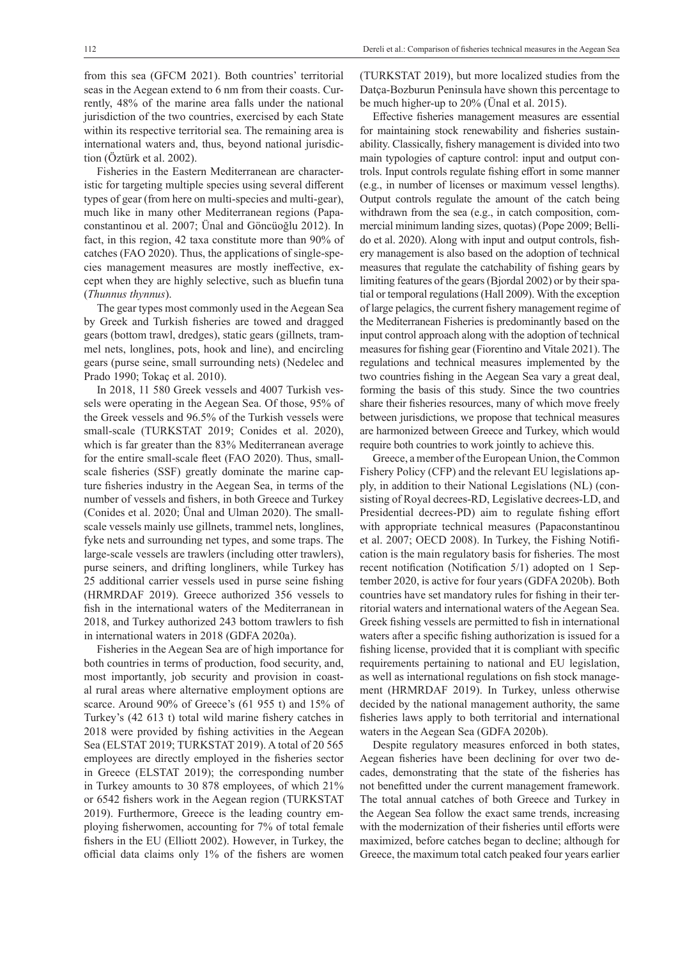from this sea (GFCM 2021). Both countries' territorial seas in the Aegean extend to 6 nm from their coasts. Currently, 48% of the marine area falls under the national jurisdiction of the two countries, exercised by each State within its respective territorial sea. The remaining area is international waters and, thus, beyond national jurisdiction (Öztürk et al. 2002).

Fisheries in the Eastern Mediterranean are characteristic for targeting multiple species using several different types of gear (from here on multi-species and multi-gear), much like in many other Mediterranean regions (Papaconstantinou et al. 2007; Ünal and Göncüoğlu 2012). In fact, in this region, 42 taxa constitute more than 90% of catches (FAO 2020). Thus, the applications of single-species management measures are mostly ineffective, except when they are highly selective, such as bluefin tuna (*Thunnus thynnus*).

The gear types most commonly used in the Aegean Sea by Greek and Turkish fisheries are towed and dragged gears (bottom trawl, dredges), static gears (gillnets, trammel nets, longlines, pots, hook and line), and encircling gears (purse seine, small surrounding nets) (Nedelec and Prado 1990; Tokaç et al. 2010).

In 2018, 11 580 Greek vessels and 4007 Turkish vessels were operating in the Aegean Sea. Of those, 95% of the Greek vessels and 96.5% of the Turkish vessels were small-scale (TURKSTAT 2019; Conides et al. 2020), which is far greater than the 83% Mediterranean average for the entire small-scale fleet (FAO 2020). Thus, smallscale fisheries (SSF) greatly dominate the marine capture fisheries industry in the Aegean Sea, in terms of the number of vessels and fishers, in both Greece and Turkey (Conides et al. 2020; Ünal and Ulman 2020). The smallscale vessels mainly use gillnets, trammel nets, longlines, fyke nets and surrounding net types, and some traps. The large-scale vessels are trawlers (including otter trawlers), purse seiners, and drifting longliners, while Turkey has 25 additional carrier vessels used in purse seine fishing (HRMRDAF 2019). Greece authorized 356 vessels to fish in the international waters of the Mediterranean in 2018, and Turkey authorized 243 bottom trawlers to fish in international waters in 2018 (GDFA 2020a).

Fisheries in the Aegean Sea are of high importance for both countries in terms of production, food security, and, most importantly, job security and provision in coastal rural areas where alternative employment options are scarce. Around 90% of Greece's (61 955 t) and 15% of Turkey's (42 613 t) total wild marine fishery catches in 2018 were provided by fishing activities in the Aegean Sea (ELSTAT 2019; TURKSTAT 2019). A total of 20 565 employees are directly employed in the fisheries sector in Greece (ELSTAT 2019); the corresponding number in Turkey amounts to 30 878 employees, of which 21% or 6542 fishers work in the Aegean region (TURKSTAT 2019). Furthermore, Greece is the leading country employing fisherwomen, accounting for 7% of total female fishers in the EU (Elliott 2002). However, in Turkey, the official data claims only 1% of the fishers are women

(TURKSTAT 2019), but more localized studies from the Datça-Bozburun Peninsula have shown this percentage to be much higher-up to 20% (Ünal et al. 2015).

Effective fisheries management measures are essential for maintaining stock renewability and fisheries sustainability. Classically, fishery management is divided into two main typologies of capture control: input and output controls. Input controls regulate fishing effort in some manner (e.g., in number of licenses or maximum vessel lengths). Output controls regulate the amount of the catch being withdrawn from the sea (e.g., in catch composition, commercial minimum landing sizes, quotas) (Pope 2009; Bellido et al. 2020). Along with input and output controls, fishery management is also based on the adoption of technical measures that regulate the catchability of fishing gears by limiting features of the gears (Bjordal 2002) or by their spatial or temporal regulations (Hall 2009). With the exception of large pelagics, the current fishery management regime of the Mediterranean Fisheries is predominantly based on the input control approach along with the adoption of technical measures for fishing gear (Fiorentino and Vitale 2021). The regulations and technical measures implemented by the two countries fishing in the Aegean Sea vary a great deal, forming the basis of this study. Since the two countries share their fisheries resources, many of which move freely between jurisdictions, we propose that technical measures are harmonized between Greece and Turkey, which would require both countries to work jointly to achieve this.

Greece, a member of the European Union, the Common Fishery Policy (CFP) and the relevant EU legislations apply, in addition to their National Legislations (NL) (consisting of Royal decrees-RD, Legislative decrees-LD, and Presidential decrees-PD) aim to regulate fishing effort with appropriate technical measures (Papaconstantinou et al. 2007; OECD 2008). In Turkey, the Fishing Notification is the main regulatory basis for fisheries. The most recent notification (Notification 5/1) adopted on 1 September 2020, is active for four years (GDFA 2020b). Both countries have set mandatory rules for fishing in their territorial waters and international waters of the Aegean Sea. Greek fishing vessels are permitted to fish in international waters after a specific fishing authorization is issued for a fishing license, provided that it is compliant with specific requirements pertaining to national and EU legislation, as well as international regulations on fish stock management (HRMRDAF 2019). In Turkey, unless otherwise decided by the national management authority, the same fisheries laws apply to both territorial and international waters in the Aegean Sea (GDFA 2020b).

Despite regulatory measures enforced in both states, Aegean fisheries have been declining for over two decades, demonstrating that the state of the fisheries has not benefitted under the current management framework. The total annual catches of both Greece and Turkey in the Aegean Sea follow the exact same trends, increasing with the modernization of their fisheries until efforts were maximized, before catches began to decline; although for Greece, the maximum total catch peaked four years earlier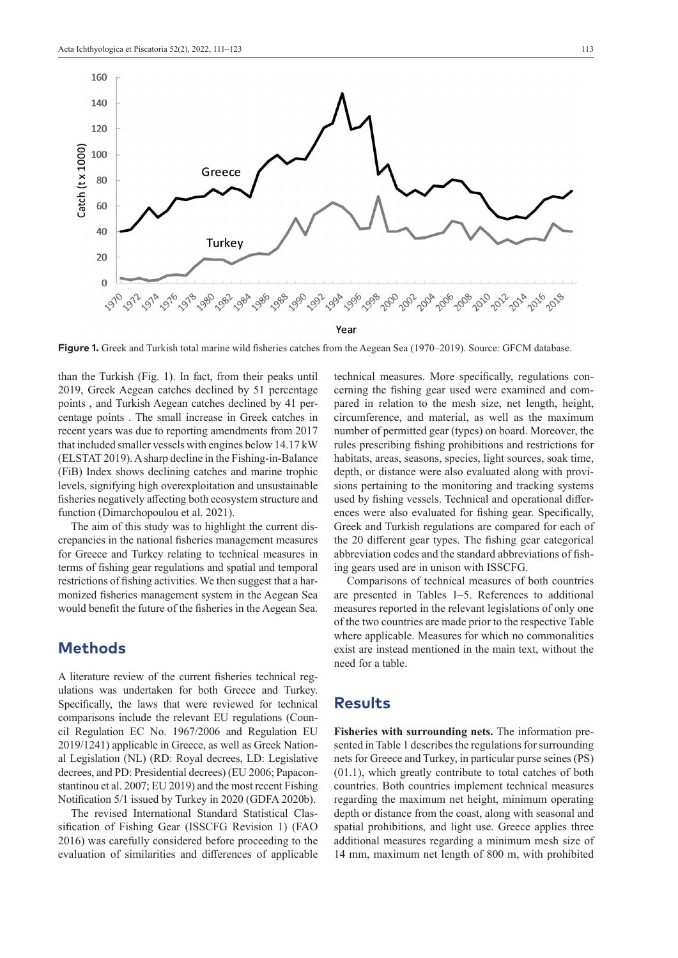

**Figure 1.** Greek and Turkish total marine wild fisheries catches from the Aegean Sea (1970–2019). Source: GFCM database.

than the Turkish (Fig. 1). In fact, from their peaks until 2019, Greek Aegean catches declined by 51 percentage points , and Turkish Aegean catches declined by 41 percentage points . The small increase in Greek catches in recent years was due to reporting amendments from 2017 that included smaller vessels with engines below 14.17 kW (ELSTAT 2019). A sharp decline in the Fishing-in-Balance (FiB) Index shows declining catches and marine trophic levels, signifying high overexploitation and unsustainable fisheries negatively affecting both ecosystem structure and function (Dimarchopoulou et al. 2021).

The aim of this study was to highlight the current discrepancies in the national fisheries management measures for Greece and Turkey relating to technical measures in terms of fishing gear regulations and spatial and temporal restrictions of fishing activities. We then suggest that a harmonized fisheries management system in the Aegean Sea would benefit the future of the fisheries in the Aegean Sea.

#### **Methods**

A literature review of the current fisheries technical regulations was undertaken for both Greece and Turkey. Specifically, the laws that were reviewed for technical comparisons include the relevant EU regulations (Council Regulation EC No. 1967/2006 and Regulation EU 2019/1241) applicable in Greece, as well as Greek National Legislation (NL) (RD: Royal decrees, LD: Legislative decrees, and PD: Presidential decrees) (EU 2006; Papaconstantinou et al. 2007; EU 2019) and the most recent Fishing Notification 5/1 issued by Turkey in 2020 (GDFA 2020b).

The revised International Standard Statistical Classification of Fishing Gear (ISSCFG Revision 1) (FAO 2016) was carefully considered before proceeding to the evaluation of similarities and differences of applicable

technical measures. More specifically, regulations concerning the fishing gear used were examined and compared in relation to the mesh size, net length, height, circumference, and material, as well as the maximum number of permitted gear (types) on board. Moreover, the rules prescribing fishing prohibitions and restrictions for habitats, areas, seasons, species, light sources, soak time, depth, or distance were also evaluated along with provisions pertaining to the monitoring and tracking systems used by fishing vessels. Technical and operational differences were also evaluated for fishing gear. Specifically, Greek and Turkish regulations are compared for each of the 20 different gear types. The fishing gear categorical abbreviation codes and the standard abbreviations of fishing gears used are in unison with ISSCFG.

Comparisons of technical measures of both countries are presented in Tables 1–5. References to additional measures reported in the relevant legislations of only one of the two countries are made prior to the respective Table where applicable. Measures for which no commonalities exist are instead mentioned in the main text, without the need for a table.

#### **Results**

**Fisheries with surrounding nets.** The information presented in Table 1 describes the regulations for surrounding nets for Greece and Turkey, in particular purse seines (PS) (01.1), which greatly contribute to total catches of both countries. Both countries implement technical measures regarding the maximum net height, minimum operating depth or distance from the coast, along with seasonal and spatial prohibitions, and light use. Greece applies three additional measures regarding a minimum mesh size of 14 mm, maximum net length of 800 m, with prohibited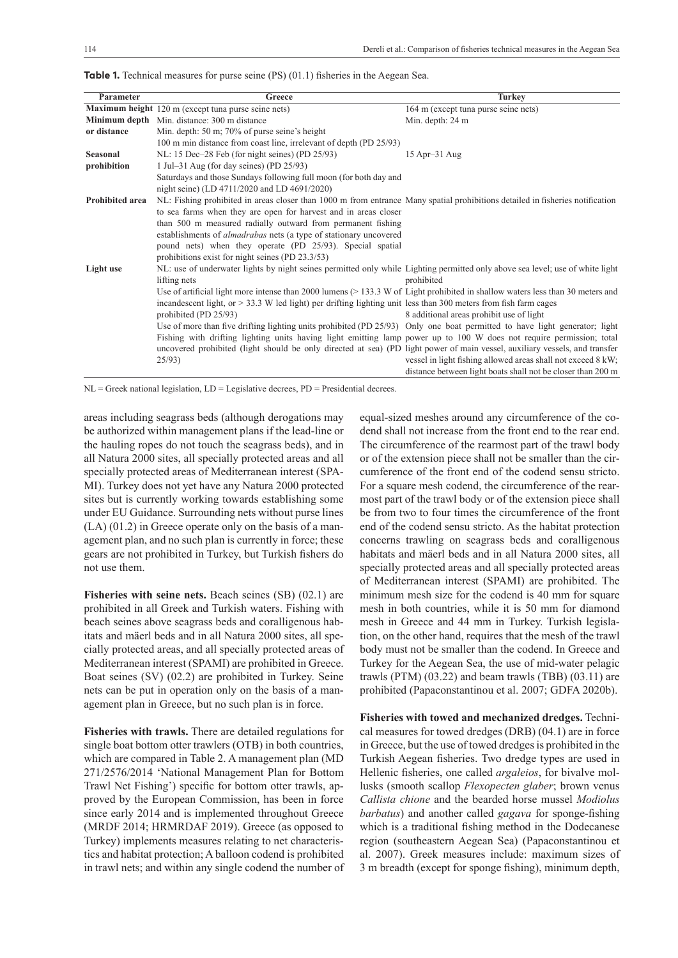| Parameter              | Greece                                                                                                                        | <b>Turkey</b>                                                |
|------------------------|-------------------------------------------------------------------------------------------------------------------------------|--------------------------------------------------------------|
|                        | Maximum height 120 m (except tuna purse seine nets)                                                                           | 164 m (except tuna purse seine nets)                         |
|                        | Minimum depth Min. distance: 300 m distance                                                                                   | Min. depth: 24 m                                             |
| or distance            | Min. depth: 50 m; 70% of purse seine's height                                                                                 |                                                              |
|                        | 100 m min distance from coast line, irrelevant of depth (PD 25/93)                                                            |                                                              |
| <b>Seasonal</b>        | NL: 15 Dec-28 Feb (for night seines) (PD 25/93)                                                                               | 15 Apr-31 Aug                                                |
| prohibition            | 1 Jul–31 Aug (for day seines) (PD 25/93)                                                                                      |                                                              |
|                        | Saturdays and those Sundays following full moon (for both day and                                                             |                                                              |
|                        | night seine) (LD 4711/2020 and LD 4691/2020)                                                                                  |                                                              |
| <b>Prohibited area</b> | NL: Fishing prohibited in areas closer than 1000 m from entrance Many spatial prohibitions detailed in fisheries notification |                                                              |
|                        | to sea farms when they are open for harvest and in areas closer                                                               |                                                              |
|                        | than 500 m measured radially outward from permanent fishing                                                                   |                                                              |
|                        | establishments of <i>almadrabas</i> nets (a type of stationary uncovered                                                      |                                                              |
|                        | pound nets) when they operate (PD 25/93). Special spatial                                                                     |                                                              |
|                        | prohibitions exist for night seines (PD 23.3/53)                                                                              |                                                              |
| Light use              | NL: use of underwater lights by night seines permitted only while Lighting permitted only above sea level; use of white light |                                                              |
|                        | lifting nets                                                                                                                  | prohibited                                                   |
|                        | Use of artificial light more intense than 2000 lumens (>133.3 W of Light prohibited in shallow waters less than 30 meters and |                                                              |
|                        | incandescent light, $or > 33.3$ W led light) per drifting lighting unit less than 300 meters from fish farm cages             |                                                              |
|                        | prohibited (PD 25/93)                                                                                                         | 8 additional areas prohibit use of light                     |
|                        | Use of more than five drifting lighting units prohibited (PD 25/93) Only one boat permitted to have light generator; light    |                                                              |
|                        | Fishing with drifting lighting units having light emitting lamp power up to 100 W does not require permission; total          |                                                              |
|                        | uncovered prohibited (light should be only directed at sea) (PD light power of main vessel, auxiliary vessels, and transfer   |                                                              |
|                        | 25/93                                                                                                                         | vessel in light fishing allowed areas shall not exceed 8 kW; |
|                        |                                                                                                                               | distance between light boats shall not be closer than 200 m  |

**Table 1.** Technical measures for purse seine (PS) (01.1) fisheries in the Aegean Sea.

 $NL =$  Greek national legislation,  $LD =$  Legislative decrees,  $PD =$  Presidential decrees.

areas including seagrass beds (although derogations may be authorized within management plans if the lead-line or the hauling ropes do not touch the seagrass beds), and in all Natura 2000 sites, all specially protected areas and all specially protected areas of Mediterranean interest (SPA-MI). Turkey does not yet have any Natura 2000 protected sites but is currently working towards establishing some under EU Guidance. Surrounding nets without purse lines (LA) (01.2) in Greece operate only on the basis of a management plan, and no such plan is currently in force; these gears are not prohibited in Turkey, but Turkish fishers do not use them.

**Fisheries with seine nets.** Beach seines (SB) (02.1) are prohibited in all Greek and Turkish waters. Fishing with beach seines above seagrass beds and coralligenous habitats and mäerl beds and in all Natura 2000 sites, all specially protected areas, and all specially protected areas of Mediterranean interest (SPAMI) are prohibited in Greece. Boat seines (SV) (02.2) are prohibited in Turkey. Seine nets can be put in operation only on the basis of a management plan in Greece, but no such plan is in force.

**Fisheries with trawls.** There are detailed regulations for single boat bottom otter trawlers (OTB) in both countries, which are compared in Table 2. A management plan (MD 271/2576/2014 'National Management Plan for Bottom Trawl Net Fishing') specific for bottom otter trawls, approved by the European Commission, has been in force since early 2014 and is implemented throughout Greece (MRDF 2014; HRMRDAF 2019). Greece (as opposed to Turkey) implements measures relating to net characteristics and habitat protection; A balloon codend is prohibited in trawl nets; and within any single codend the number of equal-sized meshes around any circumference of the codend shall not increase from the front end to the rear end. The circumference of the rearmost part of the trawl body or of the extension piece shall not be smaller than the circumference of the front end of the codend sensu stricto. For a square mesh codend, the circumference of the rearmost part of the trawl body or of the extension piece shall be from two to four times the circumference of the front end of the codend sensu stricto. As the habitat protection concerns trawling on seagrass beds and coralligenous habitats and mäerl beds and in all Natura 2000 sites, all specially protected areas and all specially protected areas of Mediterranean interest (SPAMI) are prohibited. The minimum mesh size for the codend is 40 mm for square mesh in both countries, while it is 50 mm for diamond mesh in Greece and 44 mm in Turkey. Turkish legislation, on the other hand, requires that the mesh of the trawl body must not be smaller than the codend. In Greece and Turkey for the Aegean Sea, the use of mid-water pelagic trawls (PTM) (03.22) and beam trawls (TBB) (03.11) are prohibited (Papaconstantinou et al. 2007; GDFA 2020b).

**Fisheries with towed and mechanized dredges.** Technical measures for towed dredges (DRB) (04.1) are in force in Greece, but the use of towed dredges is prohibited in the Turkish Aegean fisheries. Two dredge types are used in Hellenic fisheries, one called *argaleios*, for bivalve mollusks (smooth scallop *Flexopecten glaber*; brown venus *Callista chione* and the bearded horse mussel *Modiolus barbatus*) and another called *gagava* for sponge-fishing which is a traditional fishing method in the Dodecanese region (southeastern Aegean Sea) (Papaconstantinou et al. 2007). Greek measures include: maximum sizes of 3 m breadth (except for sponge fishing), minimum depth,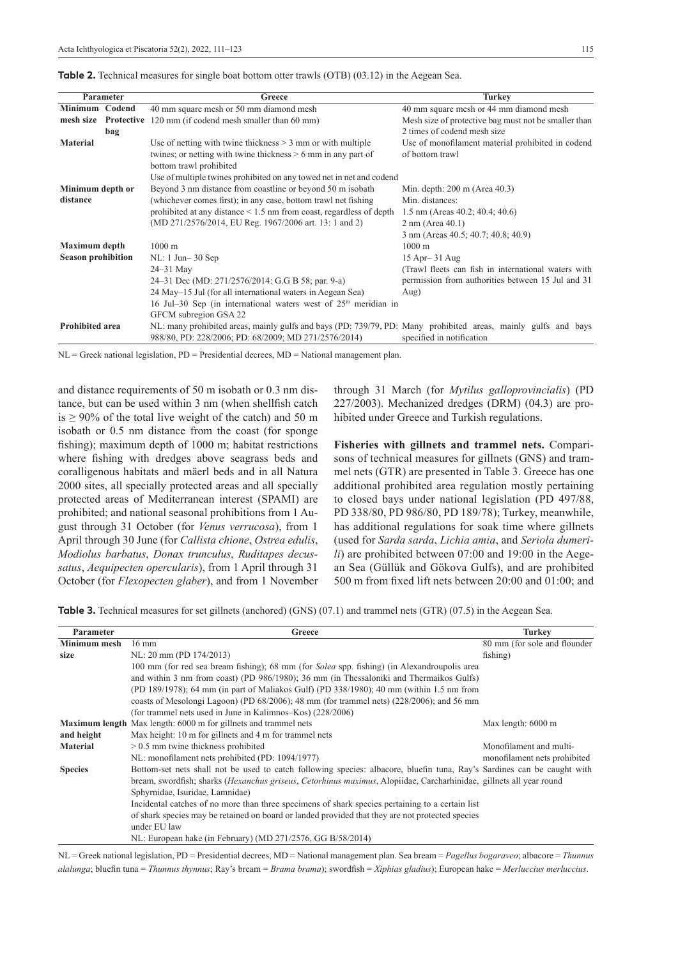| Parameter                 |     | Greece                                                                                                                                                                 | <b>Turkey</b>                                        |
|---------------------------|-----|------------------------------------------------------------------------------------------------------------------------------------------------------------------------|------------------------------------------------------|
| Minimum Codend            |     | 40 mm square mesh or 50 mm diamond mesh                                                                                                                                | 40 mm square mesh or 44 mm diamond mesh              |
| mesh size                 |     | <b>Protective</b> 120 mm (if codend mesh smaller than 60 mm)                                                                                                           | Mesh size of protective bag must not be smaller than |
|                           | bag |                                                                                                                                                                        | 2 times of codend mesh size                          |
| <b>Material</b>           |     | Use of netting with twine thickness $> 3$ mm or with multiple                                                                                                          | Use of monofilament material prohibited in codend    |
|                           |     | twines; or netting with twine thickness $> 6$ mm in any part of                                                                                                        | of bottom trawl                                      |
|                           |     | bottom trawl prohibited                                                                                                                                                |                                                      |
|                           |     | Use of multiple twines prohibited on any towed net in net and codend                                                                                                   |                                                      |
| Minimum depth or          |     | Beyond 3 nm distance from coastline or beyond 50 m isobath                                                                                                             | Min. depth: 200 m (Area 40.3)                        |
| distance                  |     | (whichever comes first); in any case, bottom trawl net fishing                                                                                                         | Min. distances:                                      |
|                           |     | prohibited at any distance $\leq 1.5$ nm from coast, regardless of depth                                                                                               | 1.5 nm (Areas $40.2$ ; $40.4$ ; $40.6$ )             |
|                           |     | (MD 271/2576/2014, EU Reg. 1967/2006 art. 13: 1 and 2)                                                                                                                 | $2 \text{ nm}$ (Area 40.1)                           |
|                           |     |                                                                                                                                                                        | 3 nm (Areas 40.5; 40.7; 40.8; 40.9)                  |
| <b>Maximum</b> depth      |     | $1000 \text{ m}$                                                                                                                                                       | $1000 \; \mathrm{m}$                                 |
| <b>Season prohibition</b> |     | $NL: 1$ Jun-30 Sep                                                                                                                                                     | 15 Apr-31 Aug                                        |
|                           |     | $24-31$ May                                                                                                                                                            | (Trawl fleets can fish in international waters with  |
|                           |     | 24–31 Dec (MD: 271/2576/2014: G.G B 58; par. 9-a)                                                                                                                      | permission from authorities between 15 Jul and 31    |
|                           |     | 24 May–15 Jul (for all international waters in Aegean Sea)                                                                                                             | Aug)                                                 |
|                           |     | 16 Jul-30 Sep (in international waters west of $25th$ meridian in                                                                                                      |                                                      |
|                           |     | GFCM subregion GSA 22                                                                                                                                                  |                                                      |
| <b>Prohibited area</b>    |     | NL: many prohibited areas, mainly gulfs and bays (PD: 739/79, PD: Many prohibited areas, mainly gulfs and bays<br>988/80, PD: 228/2006; PD: 68/2009; MD 271/2576/2014) | specified in notification                            |

**Table 2.** Technical measures for single boat bottom otter trawls (OTB) (03.12) in the Aegean Sea.

NL = Greek national legislation, PD = Presidential decrees, MD = National management plan.

and distance requirements of 50 m isobath or 0.3 nm distance, but can be used within 3 nm (when shellfish catch is  $\geq 90\%$  of the total live weight of the catch) and 50 m isobath or 0.5 nm distance from the coast (for sponge fishing); maximum depth of 1000 m; habitat restrictions where fishing with dredges above seagrass beds and coralligenous habitats and mäerl beds and in all Natura 2000 sites, all specially protected areas and all specially protected areas of Mediterranean interest (SPAMI) are prohibited; and national seasonal prohibitions from 1 August through 31 October (for *Venus verrucosa*), from 1 April through 30 June (for *Callista chione*, *Ostrea edulis*, *Modiolus barbatus*, *Donax trunculus*, *Ruditapes decussatus*, *Aequipecten opercularis*), from 1 April through 31 October (for *Flexopecten glaber*), and from 1 November

through 31 March (for *Mytilus galloprovincialis*) (PD 227/2003). Mechanized dredges (DRM) (04.3) are prohibited under Greece and Turkish regulations.

**Fisheries with gillnets and trammel nets.** Comparisons of technical measures for gillnets (GNS) and trammel nets (GTR) are presented in Table 3. Greece has one additional prohibited area regulation mostly pertaining to closed bays under national legislation (PD 497/88, PD 338/80, PD 986/80, PD 189/78); Turkey, meanwhile, has additional regulations for soak time where gillnets (used for *Sarda sarda*, *Lichia amia*, and *Seriola dumerili*) are prohibited between 07:00 and 19:00 in the Aegean Sea (Güllük and Gökova Gulfs), and are prohibited 500 m from fixed lift nets between 20:00 and 01:00; and

**Table 3.** Technical measures for set gillnets (anchored) (GNS) (07.1) and trammel nets (GTR) (07.5) in the Aegean Sea.

| Parameter           | Greece                                                                                                                  | <b>Turkey</b>                |  |
|---------------------|-------------------------------------------------------------------------------------------------------------------------|------------------------------|--|
| <b>Minimum mesh</b> | $16 \text{ mm}$                                                                                                         | 80 mm (for sole and flounder |  |
| size                | NL: 20 mm (PD 174/2013)                                                                                                 | fishing)                     |  |
|                     | 100 mm (for red sea bream fishing); 68 mm (for <i>Solea</i> spp. fishing) (in Alexandroupolis area                      |                              |  |
|                     | and within 3 nm from coast) (PD 986/1980); 36 mm (in Thessaloniki and Thermaikos Gulfs)                                 |                              |  |
|                     | (PD 189/1978); 64 mm (in part of Maliakos Gulf) (PD 338/1980); 40 mm (within 1.5 nm from                                |                              |  |
|                     | coasts of Mesolongi Lagoon) (PD 68/2006); 48 mm (for trammel nets) (228/2006); and 56 mm                                |                              |  |
|                     | (for trammel nets used in June in Kalimnos–Kos) (228/2006)                                                              |                              |  |
|                     | Maximum length Max length: 6000 m for gillnets and trammel nets                                                         | Max length: 6000 m           |  |
| and height          | Max height: 10 m for gillnets and 4 m for trammel nets                                                                  |                              |  |
| <b>Material</b>     | $> 0.5$ mm twine thickness prohibited                                                                                   | Monofilament and multi-      |  |
|                     | NL: monofilament nets prohibited (PD: 1094/1977)                                                                        | monofilament nets prohibited |  |
| <b>Species</b>      | Bottom-set nets shall not be used to catch following species: albacore, bluefin tuna, Ray's Sardines can be caught with |                              |  |
|                     | bream, swordfish; sharks (Hexanchus griseus, Cetorhinus maximus, Alopiidae, Carcharhinidae, gillnets all year round     |                              |  |
|                     | Sphyrnidae, Isuridae, Lamnidae)                                                                                         |                              |  |
|                     | Incidental catches of no more than three specimens of shark species pertaining to a certain list                        |                              |  |
|                     | of shark species may be retained on board or landed provided that they are not protected species                        |                              |  |
|                     | under EU law                                                                                                            |                              |  |
|                     | NL: European hake (in February) (MD 271/2576, GG B/58/2014)                                                             |                              |  |

NL = Greek national legislation, PD = Presidential decrees, MD = National management plan. Sea bream = *Pagellus bogaraveo*; albacore = *Thunnus alalunga*; bluefin tuna = *Thunnus thynnus*; Ray's bream = *Brama brama*); swordfish = *Xiphias gladius*); European hake = *Merluccius merluccius*.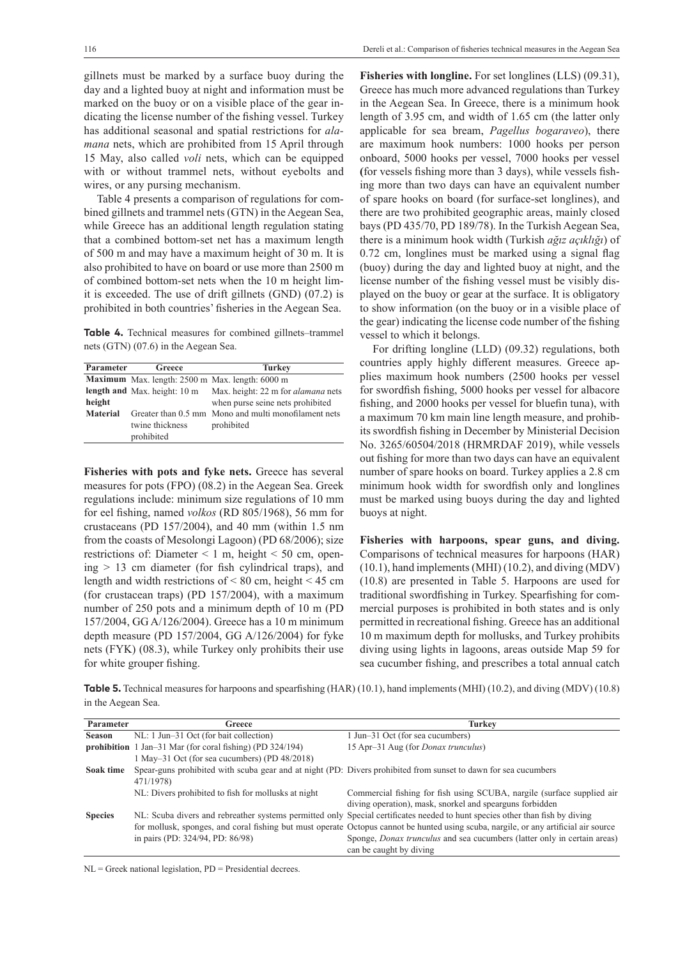gillnets must be marked by a surface buoy during the day and a lighted buoy at night and information must be marked on the buoy or on a visible place of the gear indicating the license number of the fishing vessel. Turkey has additional seasonal and spatial restrictions for *alamana* nets, which are prohibited from 15 April through 15 May, also called *voli* nets, which can be equipped with or without trammel nets, without eyebolts and wires, or any pursing mechanism.

Table 4 presents a comparison of regulations for combined gillnets and trammel nets (GTN) in the Aegean Sea, while Greece has an additional length regulation stating that a combined bottom-set net has a maximum length of 500 m and may have a maximum height of 30 m. It is also prohibited to have on board or use more than 2500 m of combined bottom-set nets when the 10 m height limit is exceeded. The use of drift gillnets (GND) (07.2) is prohibited in both countries' fisheries in the Aegean Sea.

**Table 4.** Technical measures for combined gillnets–trammel nets (GTN) (07.6) in the Aegean Sea.

| Parameter       | Greece                                 | <b>Turkey</b>                                                      |
|-----------------|----------------------------------------|--------------------------------------------------------------------|
|                 |                                        | <b>Maximum</b> Max. length: 2500 m Max. length: 6000 m             |
|                 | length and Max. height: $10 \text{ m}$ | Max. height: 22 m for <i>alamana</i> nets                          |
| height          |                                        | when purse seine nets prohibited                                   |
| <b>Material</b> | twine thickness                        | Greater than 0.5 mm Mono and multi monofilament nets<br>prohibited |
|                 | prohibited                             |                                                                    |

**Fisheries with pots and fyke nets.** Greece has several measures for pots (FPO) (08.2) in the Aegean Sea. Greek regulations include: minimum size regulations of 10 mm for eel fishing, named *volkos* (RD 805/1968), 56 mm for crustaceans (PD 157/2004), and 40 mm (within 1.5 nm from the coasts of Mesolongi Lagoon) (PD 68/2006); size restrictions of: Diameter  $\leq 1$  m, height  $\leq 50$  cm, open $ing > 13$  cm diameter (for fish cylindrical traps), and length and width restrictions of < 80 cm, height < 45 cm (for crustacean traps) (PD 157/2004), with a maximum number of 250 pots and a minimum depth of 10 m (PD 157/2004, GG A/126/2004). Greece has a 10 m minimum depth measure (PD 157/2004, GG A/126/2004) for fyke nets (FYK) (08.3), while Turkey only prohibits their use for white grouper fishing.

applicable for sea bream, *Pagellus bogaraveo*), there are maximum hook numbers: 1000 hooks per person onboard, 5000 hooks per vessel, 7000 hooks per vessel **(**for vessels fishing more than 3 days), while vessels fishing more than two days can have an equivalent number of spare hooks on board (for surface-set longlines), and there are two prohibited geographic areas, mainly closed bays (PD 435/70, PD 189/78). In the Turkish Aegean Sea, there is a minimum hook width (Turkish *ağız açıklığı*) of 0.72 cm, longlines must be marked using a signal flag (buoy) during the day and lighted buoy at night, and the license number of the fishing vessel must be visibly displayed on the buoy or gear at the surface. It is obligatory to show information (on the buoy or in a visible place of the gear) indicating the license code number of the fishing vessel to which it belongs.

For drifting longline (LLD) (09.32) regulations, both countries apply highly different measures. Greece applies maximum hook numbers (2500 hooks per vessel for swordfish fishing, 5000 hooks per vessel for albacore fishing, and 2000 hooks per vessel for bluefin tuna), with a maximum 70 km main line length measure, and prohibits swordfish fishing in December by Ministerial Decision No. 3265/60504/2018 (HRMRDAF 2019), while vessels out fishing for more than two days can have an equivalent number of spare hooks on board. Turkey applies a 2.8 cm minimum hook width for swordfish only and longlines must be marked using buoys during the day and lighted buoys at night.

**Fisheries with harpoons, spear guns, and diving.** Comparisons of technical measures for harpoons (HAR) (10.1), hand implements (MHI) (10.2), and diving (MDV) (10.8) are presented in Table 5. Harpoons are used for traditional swordfishing in Turkey. Spearfishing for commercial purposes is prohibited in both states and is only permitted in recreational fishing. Greece has an additional 10 m maximum depth for mollusks, and Turkey prohibits diving using lights in lagoons, areas outside Map 59 for sea cucumber fishing, and prescribes a total annual catch

**Table 5.** Technical measures for harpoons and spearfishing (HAR) (10.1), hand implements (MHI) (10.2), and diving (MDV) (10.8) in the Aegean Sea.

| Parameter      | Greece                                                                                                          | <b>Turkey</b>                                                                                                                        |
|----------------|-----------------------------------------------------------------------------------------------------------------|--------------------------------------------------------------------------------------------------------------------------------------|
| <b>Season</b>  | NL: 1 Jun-31 Oct (for bait collection)                                                                          | 1 Jun-31 Oct (for sea cucumbers)                                                                                                     |
|                | prohibition 1 Jan-31 Mar (for coral fishing) (PD 324/194)                                                       | 15 Apr-31 Aug (for <i>Donax trunculus</i> )                                                                                          |
|                | 1 May–31 Oct (for sea cucumbers) (PD 48/2018)                                                                   |                                                                                                                                      |
| Soak time      | Spear-guns prohibited with scuba gear and at night (PD: Divers prohibited from sunset to dawn for sea cucumbers |                                                                                                                                      |
|                | 471/1978)                                                                                                       |                                                                                                                                      |
|                | NL: Divers prohibited to fish for mollusks at night                                                             | Commercial fishing for fish using SCUBA, nargile (surface supplied air                                                               |
|                |                                                                                                                 | diving operation), mask, snorkel and spearguns forbidden                                                                             |
| <b>Species</b> |                                                                                                                 | NL: Scuba divers and rebreather systems permitted only Special certificates needed to hunt species other than fish by diving         |
|                |                                                                                                                 | for mollusk, sponges, and coral fishing but must operate Octopus cannot be hunted using scuba, nargile, or any artificial air source |
|                | in pairs (PD: 324/94, PD: 86/98)                                                                                | Sponge, <i>Donax trunculus</i> and sea cucumbers (latter only in certain areas)                                                      |
|                |                                                                                                                 | can be caught by diving                                                                                                              |

 $NL =$  Greek national legislation,  $PD =$  Presidential decrees.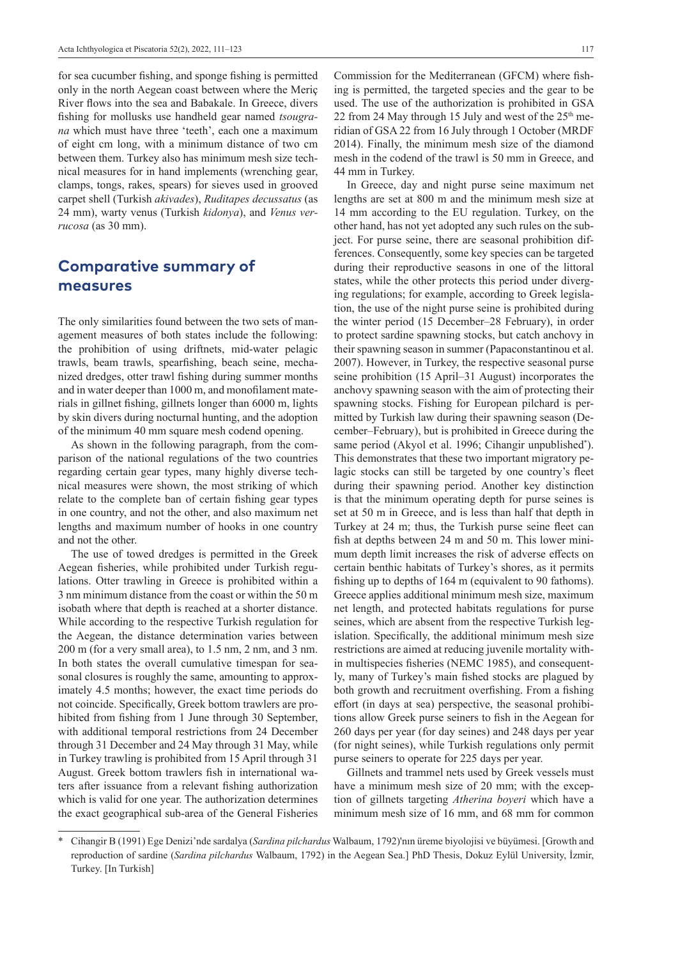for sea cucumber fishing, and sponge fishing is permitted only in the north Aegean coast between where the Meriç River flows into the sea and Babakale. In Greece, divers fishing for mollusks use handheld gear named *tsougrana* which must have three 'teeth', each one a maximum of eight cm long, with a minimum distance of two cm between them. Turkey also has minimum mesh size technical measures for in hand implements (wrenching gear, clamps, tongs, rakes, spears) for sieves used in grooved carpet shell (Turkish *akivades*), *Ruditapes decussatus* (as 24 mm), warty venus (Turkish *kidonya*), and *Venus verrucosa* (as 30 mm).

# **Comparative summary of measures**

The only similarities found between the two sets of management measures of both states include the following: the prohibition of using driftnets, mid-water pelagic trawls, beam trawls, spearfishing, beach seine, mechanized dredges, otter trawl fishing during summer months and in water deeper than 1000 m, and monofilament materials in gillnet fishing, gillnets longer than 6000 m, lights by skin divers during nocturnal hunting, and the adoption of the minimum 40 mm square mesh codend opening.

As shown in the following paragraph, from the comparison of the national regulations of the two countries regarding certain gear types, many highly diverse technical measures were shown, the most striking of which relate to the complete ban of certain fishing gear types in one country, and not the other, and also maximum net lengths and maximum number of hooks in one country and not the other.

The use of towed dredges is permitted in the Greek Aegean fisheries, while prohibited under Turkish regulations. Otter trawling in Greece is prohibited within a 3 nm minimum distance from the coast or within the 50 m isobath where that depth is reached at a shorter distance. While according to the respective Turkish regulation for the Aegean, the distance determination varies between 200 m (for a very small area), to 1.5 nm, 2 nm, and 3 nm. In both states the overall cumulative timespan for seasonal closures is roughly the same, amounting to approximately 4.5 months; however, the exact time periods do not coincide. Specifically, Greek bottom trawlers are prohibited from fishing from 1 June through 30 September, with additional temporal restrictions from 24 December through 31 December and 24 May through 31 May, while in Turkey trawling is prohibited from 15 April through 31 August. Greek bottom trawlers fish in international waters after issuance from a relevant fishing authorization which is valid for one year. The authorization determines the exact geographical sub-area of the General Fisheries

Commission for the Mediterranean (GFCM) where fishing is permitted, the targeted species and the gear to be used. The use of the authorization is prohibited in GSA 22 from 24 May through 15 July and west of the  $25<sup>th</sup>$  meridian of GSA 22 from 16 July through 1 October (MRDF 2014). Finally, the minimum mesh size of the diamond mesh in the codend of the trawl is 50 mm in Greece, and 44 mm in Turkey.

In Greece, day and night purse seine maximum net lengths are set at 800 m and the minimum mesh size at 14 mm according to the EU regulation. Turkey, on the other hand, has not yet adopted any such rules on the subject. For purse seine, there are seasonal prohibition differences. Consequently, some key species can be targeted during their reproductive seasons in one of the littoral states, while the other protects this period under diverging regulations; for example, according to Greek legislation, the use of the night purse seine is prohibited during the winter period (15 December–28 February), in order to protect sardine spawning stocks, but catch anchovy in their spawning season in summer (Papaconstantinou et al. 2007). However, in Turkey, the respective seasonal purse seine prohibition (15 April–31 August) incorporates the anchovy spawning season with the aim of protecting their spawning stocks. Fishing for European pilchard is permitted by Turkish law during their spawning season (December–February), but is prohibited in Greece during the same period (Akyol et al. 1996; Cihangir unpublished\* ). This demonstrates that these two important migratory pelagic stocks can still be targeted by one country's fleet during their spawning period. Another key distinction is that the minimum operating depth for purse seines is set at 50 m in Greece, and is less than half that depth in Turkey at 24 m; thus, the Turkish purse seine fleet can fish at depths between 24 m and 50 m. This lower minimum depth limit increases the risk of adverse effects on certain benthic habitats of Turkey's shores, as it permits fishing up to depths of 164 m (equivalent to 90 fathoms). Greece applies additional minimum mesh size, maximum net length, and protected habitats regulations for purse seines, which are absent from the respective Turkish legislation. Specifically, the additional minimum mesh size restrictions are aimed at reducing juvenile mortality within multispecies fisheries (NEMC 1985), and consequently, many of Turkey's main fished stocks are plagued by both growth and recruitment overfishing. From a fishing effort (in days at sea) perspective, the seasonal prohibitions allow Greek purse seiners to fish in the Aegean for 260 days per year (for day seines) and 248 days per year (for night seines), while Turkish regulations only permit purse seiners to operate for 225 days per year.

Gillnets and trammel nets used by Greek vessels must have a minimum mesh size of 20 mm; with the exception of gillnets targeting *Atherina boyeri* which have a minimum mesh size of 16 mm, and 68 mm for common

<sup>\*</sup> Cihangir B (1991) Ege Denizi'nde sardalya (*Sardina pilchardus* Walbaum, 1792)'nın üreme biyolojisi ve büyümesi. [Growth and reproduction of sardine (*Sardina pilchardus* Walbaum, 1792) in the Aegean Sea.] PhD Thesis, Dokuz Eylül University, İzmir, Turkey. [In Turkish]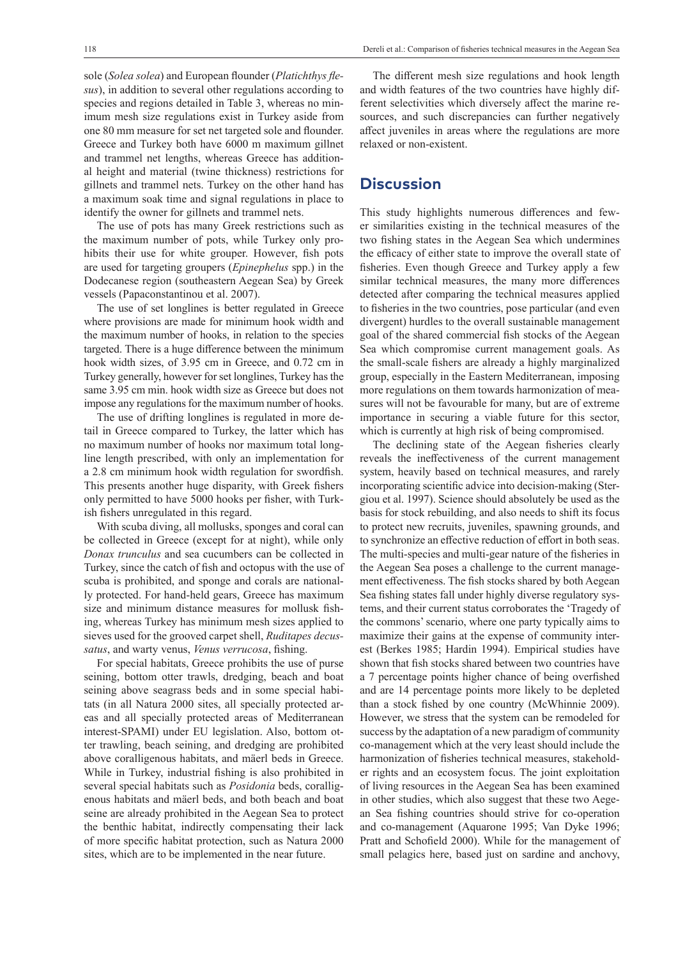sole (*Solea solea*) and European flounder (*Platichthys flesus*), in addition to several other regulations according to species and regions detailed in Table 3, whereas no minimum mesh size regulations exist in Turkey aside from one 80 mm measure for set net targeted sole and flounder. Greece and Turkey both have 6000 m maximum gillnet and trammel net lengths, whereas Greece has additional height and material (twine thickness) restrictions for gillnets and trammel nets. Turkey on the other hand has a maximum soak time and signal regulations in place to identify the owner for gillnets and trammel nets.

The use of pots has many Greek restrictions such as the maximum number of pots, while Turkey only prohibits their use for white grouper. However, fish pots are used for targeting groupers (*Epinephelus* spp.) in the Dodecanese region (southeastern Aegean Sea) by Greek vessels (Papaconstantinou et al. 2007).

The use of set longlines is better regulated in Greece where provisions are made for minimum hook width and the maximum number of hooks, in relation to the species targeted. There is a huge difference between the minimum hook width sizes, of 3.95 cm in Greece, and 0.72 cm in Turkey generally, however for set longlines, Turkey has the same 3.95 cm min. hook width size as Greece but does not impose any regulations for the maximum number of hooks.

The use of drifting longlines is regulated in more detail in Greece compared to Turkey, the latter which has no maximum number of hooks nor maximum total longline length prescribed, with only an implementation for a 2.8 cm minimum hook width regulation for swordfish. This presents another huge disparity, with Greek fishers only permitted to have 5000 hooks per fisher, with Turkish fishers unregulated in this regard.

With scuba diving, all mollusks, sponges and coral can be collected in Greece (except for at night), while only *Donax trunculus* and sea cucumbers can be collected in Turkey, since the catch of fish and octopus with the use of scuba is prohibited, and sponge and corals are nationally protected. For hand-held gears, Greece has maximum size and minimum distance measures for mollusk fishing, whereas Turkey has minimum mesh sizes applied to sieves used for the grooved carpet shell, *Ruditapes decussatus*, and warty venus, *Venus verrucosa*, fishing.

For special habitats, Greece prohibits the use of purse seining, bottom otter trawls, dredging, beach and boat seining above seagrass beds and in some special habitats (in all Natura 2000 sites, all specially protected areas and all specially protected areas of Mediterranean interest-SPAMI) under EU legislation. Also, bottom otter trawling, beach seining, and dredging are prohibited above coralligenous habitats, and mäerl beds in Greece. While in Turkey, industrial fishing is also prohibited in several special habitats such as *Posidonia* beds, coralligenous habitats and mäerl beds, and both beach and boat seine are already prohibited in the Aegean Sea to protect the benthic habitat, indirectly compensating their lack of more specific habitat protection, such as Natura 2000 sites, which are to be implemented in the near future.

The different mesh size regulations and hook length and width features of the two countries have highly different selectivities which diversely affect the marine resources, and such discrepancies can further negatively affect juveniles in areas where the regulations are more relaxed or non-existent.

#### **Discussion**

This study highlights numerous differences and fewer similarities existing in the technical measures of the two fishing states in the Aegean Sea which undermines the efficacy of either state to improve the overall state of fisheries. Even though Greece and Turkey apply a few similar technical measures, the many more differences detected after comparing the technical measures applied to fisheries in the two countries, pose particular (and even divergent) hurdles to the overall sustainable management goal of the shared commercial fish stocks of the Aegean Sea which compromise current management goals. As the small-scale fishers are already a highly marginalized group, especially in the Eastern Mediterranean, imposing more regulations on them towards harmonization of measures will not be favourable for many, but are of extreme importance in securing a viable future for this sector, which is currently at high risk of being compromised.

The declining state of the Aegean fisheries clearly reveals the ineffectiveness of the current management system, heavily based on technical measures, and rarely incorporating scientific advice into decision-making (Stergiou et al. 1997). Science should absolutely be used as the basis for stock rebuilding, and also needs to shift its focus to protect new recruits, juveniles, spawning grounds, and to synchronize an effective reduction of effort in both seas. The multi-species and multi-gear nature of the fisheries in the Aegean Sea poses a challenge to the current management effectiveness. The fish stocks shared by both Aegean Sea fishing states fall under highly diverse regulatory systems, and their current status corroborates the 'Tragedy of the commons' scenario, where one party typically aims to maximize their gains at the expense of community interest (Berkes 1985; Hardin 1994). Empirical studies have shown that fish stocks shared between two countries have a 7 percentage points higher chance of being overfished and are 14 percentage points more likely to be depleted than a stock fished by one country (McWhinnie 2009). However, we stress that the system can be remodeled for success by the adaptation of a new paradigm of community co-management which at the very least should include the harmonization of fisheries technical measures, stakeholder rights and an ecosystem focus. The joint exploitation of living resources in the Aegean Sea has been examined in other studies, which also suggest that these two Aegean Sea fishing countries should strive for co-operation and co-management (Aquarone 1995; Van Dyke 1996; Pratt and Schofield 2000). While for the management of small pelagics here, based just on sardine and anchovy,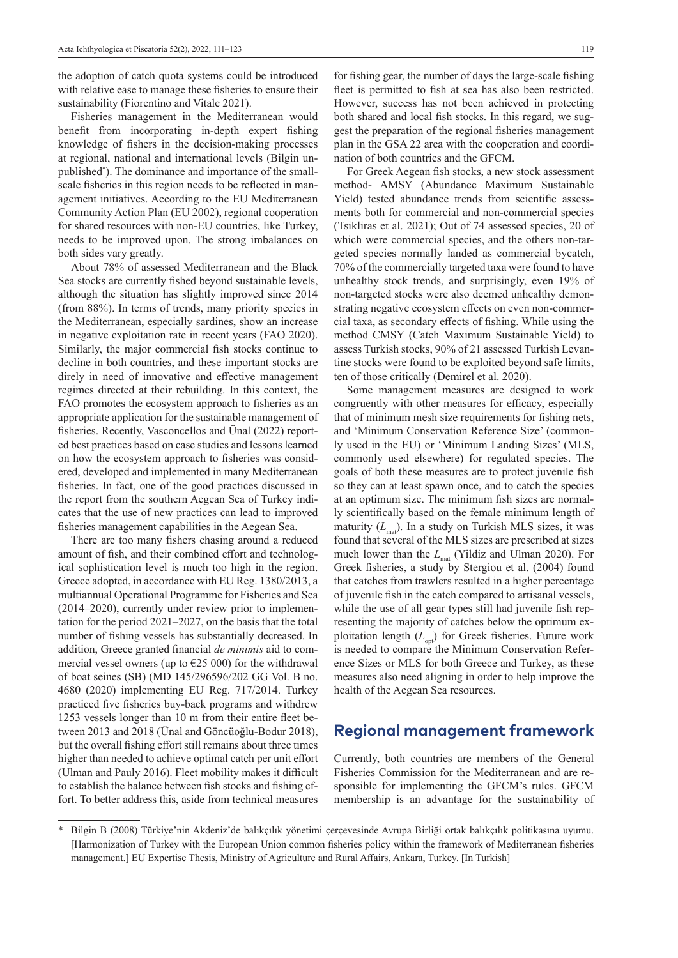the adoption of catch quota systems could be introduced with relative ease to manage these fisheries to ensure their sustainability (Fiorentino and Vitale 2021).

Fisheries management in the Mediterranean would benefit from incorporating in-depth expert fishing knowledge of fishers in the decision-making processes at regional, national and international levels (Bilgin unpublished\* ). The dominance and importance of the smallscale fisheries in this region needs to be reflected in management initiatives. According to the EU Mediterranean Community Action Plan (EU 2002), regional cooperation for shared resources with non-EU countries, like Turkey, needs to be improved upon. The strong imbalances on both sides vary greatly.

About 78% of assessed Mediterranean and the Black Sea stocks are currently fished beyond sustainable levels, although the situation has slightly improved since 2014 (from 88%). In terms of trends, many priority species in the Mediterranean, especially sardines, show an increase in negative exploitation rate in recent years (FAO 2020). Similarly, the major commercial fish stocks continue to decline in both countries, and these important stocks are direly in need of innovative and effective management regimes directed at their rebuilding. In this context, the FAO promotes the ecosystem approach to fisheries as an appropriate application for the sustainable management of fisheries. Recently, Vasconcellos and Ünal (2022) reported best practices based on case studies and lessons learned on how the ecosystem approach to fisheries was considered, developed and implemented in many Mediterranean fisheries. In fact, one of the good practices discussed in the report from the southern Aegean Sea of Turkey indicates that the use of new practices can lead to improved fisheries management capabilities in the Aegean Sea.

There are too many fishers chasing around a reduced amount of fish, and their combined effort and technological sophistication level is much too high in the region. Greece adopted, in accordance with EU Reg. 1380/2013, a multiannual Operational Programme for Fisheries and Sea (2014–2020), currently under review prior to implementation for the period 2021–2027, on the basis that the total number of fishing vessels has substantially decreased. In addition, Greece granted financial *de minimis* aid to commercial vessel owners (up to  $E$ 25 000) for the withdrawal of boat seines (SB) (MD 145/296596/202 GG Vol. Β no. 4680 (2020) implementing EU Reg. 717/2014. Turkey practiced five fisheries buy-back programs and withdrew 1253 vessels longer than 10 m from their entire fleet between 2013 and 2018 (Ünal and Göncüoğlu-Bodur 2018), but the overall fishing effort still remains about three times higher than needed to achieve optimal catch per unit effort (Ulman and Pauly 2016). Fleet mobility makes it difficult to establish the balance between fish stocks and fishing effort. To better address this, aside from technical measures

for fishing gear, the number of days the large-scale fishing fleet is permitted to fish at sea has also been restricted. However, success has not been achieved in protecting both shared and local fish stocks. In this regard, we suggest the preparation of the regional fisheries management plan in the GSA 22 area with the cooperation and coordination of both countries and the GFCM.

For Greek Aegean fish stocks, a new stock assessment method- AMSY (Abundance Maximum Sustainable Yield) tested abundance trends from scientific assessments both for commercial and non-commercial species (Tsikliras et al. 2021); Out of 74 assessed species, 20 of which were commercial species, and the others non-targeted species normally landed as commercial bycatch, 70% of the commercially targeted taxa were found to have unhealthy stock trends, and surprisingly, even 19% of non-targeted stocks were also deemed unhealthy demonstrating negative ecosystem effects on even non-commercial taxa, as secondary effects of fishing. While using the method CMSY (Catch Maximum Sustainable Yield) to assess Turkish stocks, 90% of 21 assessed Turkish Levantine stocks were found to be exploited beyond safe limits, ten of those critically (Demirel et al. 2020).

Some management measures are designed to work congruently with other measures for efficacy, especially that of minimum mesh size requirements for fishing nets, and 'Minimum Conservation Reference Size' (commonly used in the EU) or 'Minimum Landing Sizes' (MLS, commonly used elsewhere) for regulated species. The goals of both these measures are to protect juvenile fish so they can at least spawn once, and to catch the species at an optimum size. The minimum fish sizes are normally scientifically based on the female minimum length of maturity  $(L_{\text{mat}})$ . In a study on Turkish MLS sizes, it was found that several of the MLS sizes are prescribed at sizes much lower than the  $L_{\text{mat}}$  (Yildiz and Ulman 2020). For Greek fisheries, a study by Stergiou et al. (2004) found that catches from trawlers resulted in a higher percentage of juvenile fish in the catch compared to artisanal vessels, while the use of all gear types still had juvenile fish representing the majority of catches below the optimum exploitation length (*L*<sub>ont</sub>) for Greek fisheries. Future work is needed to compare the Minimum Conservation Reference Sizes or MLS for both Greece and Turkey, as these measures also need aligning in order to help improve the health of the Aegean Sea resources.

#### **Regional management framework**

Currently, both countries are members of the General Fisheries Commission for the Mediterranean and are responsible for implementing the GFCM's rules. GFCM membership is an advantage for the sustainability of

<sup>\*</sup> Bilgin B (2008) Türkiye'nin Akdeniz'de balıkçılık yönetimi çerçevesinde Avrupa Birliği ortak balıkçılık politikasına uyumu. [Harmonization of Turkey with the European Union common fisheries policy within the framework of Mediterranean fisheries management.] EU Expertise Thesis, Ministry of Agriculture and Rural Affairs, Ankara, Turkey. [In Turkish]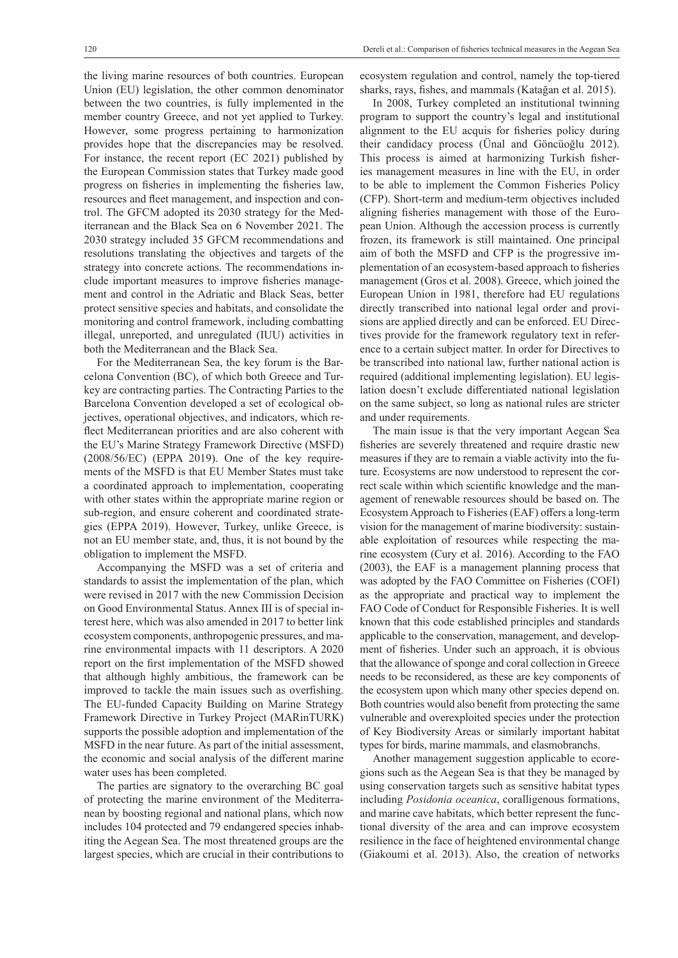the living marine resources of both countries. European Union (EU) legislation, the other common denominator between the two countries, is fully implemented in the member country Greece, and not yet applied to Turkey. However, some progress pertaining to harmonization provides hope that the discrepancies may be resolved. For instance, the recent report (EC 2021) published by the European Commission states that Turkey made good progress on fisheries in implementing the fisheries law, resources and fleet management, and inspection and control. The GFCM adopted its 2030 strategy for the Mediterranean and the Black Sea on 6 November 2021. The 2030 strategy included 35 GFCM recommendations and resolutions translating the objectives and targets of the strategy into concrete actions. The recommendations include important measures to improve fisheries management and control in the Adriatic and Black Seas, better protect sensitive species and habitats, and consolidate the monitoring and control framework, including combatting illegal, unreported, and unregulated (IUU) activities in both the Mediterranean and the Black Sea.

For the Mediterranean Sea, the key forum is the Barcelona Convention (BC), of which both Greece and Turkey are contracting parties. The Contracting Parties to the Barcelona Convention developed a set of ecological objectives, operational objectives, and indicators, which reflect Mediterranean priorities and are also coherent with the EU's Marine Strategy Framework Directive (MSFD) (2008/56/EC) (EPPA 2019). One of the key requirements of the MSFD is that EU Member States must take a coordinated approach to implementation, cooperating with other states within the appropriate marine region or sub-region, and ensure coherent and coordinated strategies (EPPA 2019). However, Turkey, unlike Greece, is not an EU member state, and, thus, it is not bound by the obligation to implement the MSFD.

Accompanying the MSFD was a set of criteria and standards to assist the implementation of the plan, which were revised in 2017 with the new Commission Decision on Good Environmental Status. Annex III is of special interest here, which was also amended in 2017 to better link ecosystem components, anthropogenic pressures, and marine environmental impacts with 11 descriptors. A 2020 report on the first implementation of the MSFD showed that although highly ambitious, the framework can be improved to tackle the main issues such as overfishing. The EU-funded Capacity Building on Marine Strategy Framework Directive in Turkey Project (MARinTURK) supports the possible adoption and implementation of the MSFD in the near future. As part of the initial assessment, the economic and social analysis of the different marine water uses has been completed.

The parties are signatory to the overarching BC goal of protecting the marine environment of the Mediterranean by boosting regional and national plans, which now includes 104 protected and 79 endangered species inhabiting the Aegean Sea. The most threatened groups are the largest species, which are crucial in their contributions to

ecosystem regulation and control, namely the top-tiered sharks, rays, fishes, and mammals (Katağan et al. 2015).

In 2008, Turkey completed an institutional twinning program to support the country's legal and institutional alignment to the EU acquis for fisheries policy during their candidacy process (Ünal and Göncüoğlu 2012). This process is aimed at harmonizing Turkish fisheries management measures in line with the EU, in order to be able to implement the Common Fisheries Policy (CFP). Short-term and medium-term objectives included aligning fisheries management with those of the European Union. Although the accession process is currently frozen, its framework is still maintained. One principal aim of both the MSFD and CFP is the progressive implementation of an ecosystem-based approach to fisheries management (Gros et al. 2008). Greece, which joined the European Union in 1981, therefore had EU regulations directly transcribed into national legal order and provisions are applied directly and can be enforced. EU Directives provide for the framework regulatory text in reference to a certain subject matter. In order for Directives to be transcribed into national law, further national action is required (additional implementing legislation). EU legislation doesn't exclude differentiated national legislation on the same subject, so long as national rules are stricter and under requirements.

The main issue is that the very important Aegean Sea fisheries are severely threatened and require drastic new measures if they are to remain a viable activity into the future. Ecosystems are now understood to represent the correct scale within which scientific knowledge and the management of renewable resources should be based on. The Ecosystem Approach to Fisheries (EAF) offers a long-term vision for the management of marine biodiversity: sustainable exploitation of resources while respecting the marine ecosystem (Cury et al. 2016). According to the FAO (2003), the EAF is a management planning process that was adopted by the FAO Committee on Fisheries (COFI) as the appropriate and practical way to implement the FAO Code of Conduct for Responsible Fisheries. It is well known that this code established principles and standards applicable to the conservation, management, and development of fisheries. Under such an approach, it is obvious that the allowance of sponge and coral collection in Greece needs to be reconsidered, as these are key components of the ecosystem upon which many other species depend on. Both countries would also benefit from protecting the same vulnerable and overexploited species under the protection of Key Biodiversity Areas or similarly important habitat types for birds, marine mammals, and elasmobranchs.

Another management suggestion applicable to ecoregions such as the Aegean Sea is that they be managed by using conservation targets such as sensitive habitat types including *Posidonia oceanica*, coralligenous formations, and marine cave habitats, which better represent the functional diversity of the area and can improve ecosystem resilience in the face of heightened environmental change (Giakoumi et al. 2013). Also, the creation of networks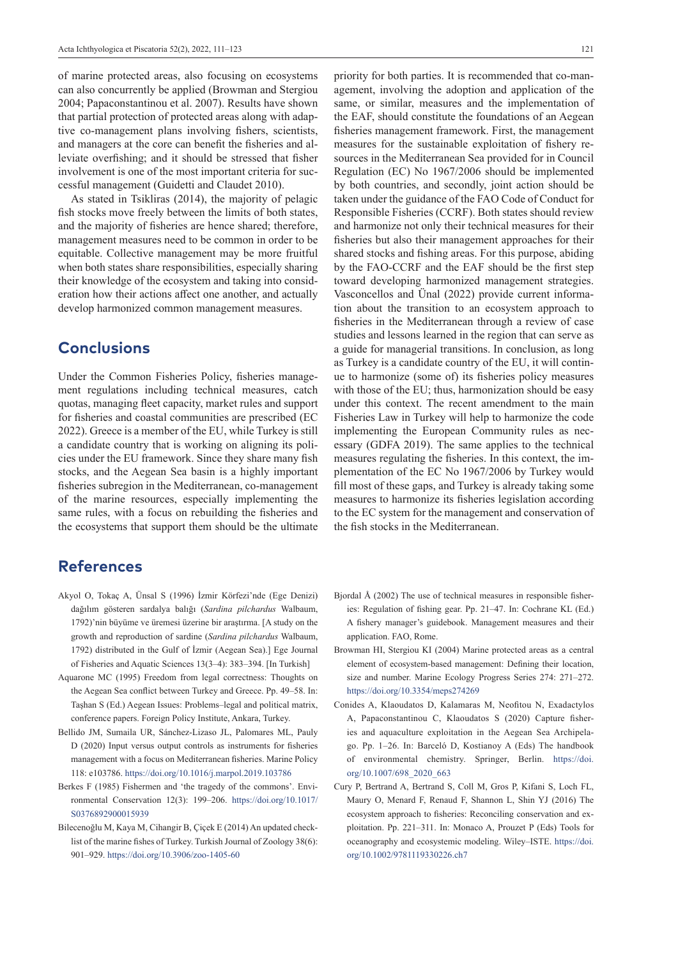of marine protected areas, also focusing on ecosystems can also concurrently be applied (Browman and Stergiou 2004; Papaconstantinou et al. 2007). Results have shown that partial protection of protected areas along with adaptive co-management plans involving fishers, scientists, and managers at the core can benefit the fisheries and alleviate overfishing; and it should be stressed that fisher involvement is one of the most important criteria for successful management (Guidetti and Claudet 2010).

As stated in Tsikliras (2014), the majority of pelagic fish stocks move freely between the limits of both states, and the majority of fisheries are hence shared; therefore, management measures need to be common in order to be equitable. Collective management may be more fruitful when both states share responsibilities, especially sharing their knowledge of the ecosystem and taking into consideration how their actions affect one another, and actually develop harmonized common management measures.

### **Conclusions**

Under the Common Fisheries Policy, fisheries management regulations including technical measures, catch quotas, managing fleet capacity, market rules and support for fisheries and coastal communities are prescribed (EC 2022). Greece is a member of the EU, while Turkey is still a candidate country that is working on aligning its policies under the EU framework. Since they share many fish stocks, and the Aegean Sea basin is a highly important fisheries subregion in the Mediterranean, co-management of the marine resources, especially implementing the same rules, with a focus on rebuilding the fisheries and the ecosystems that support them should be the ultimate

#### **References**

- Akyol O, Tokaç A, Ünsal S (1996) İzmir Körfezi'nde (Ege Denizi) dağılım gösteren sardalya balığı (*Sardina pilchardus* Walbaum, 1792)'nin büyüme ve üremesi üzerine bir araştırma. [A study on the growth and reproduction of sardine (*Sardina pilchardus* Walbaum, 1792) distributed in the Gulf of İzmir (Aegean Sea).] Ege Journal of Fisheries and Aquatic Sciences 13(3–4): 383–394. [In Turkish]
- Aquarone MC (1995) Freedom from legal correctness: Thoughts on the Aegean Sea conflict between Turkey and Greece. Pp. 49–58. In: Taşhan S (Ed.) Aegean Issues: Problems–legal and political matrix, conference papers. Foreign Policy Institute, Ankara, Turkey.
- Bellido JM, Sumaila UR, Sánchez-Lizaso JL, Palomares ML, Pauly D (2020) Input versus output controls as instruments for fisheries management with a focus on Mediterranean fisheries. Marine Policy 118: e103786. <https://doi.org/10.1016/j.marpol.2019.103786>
- Berkes F (1985) Fishermen and 'the tragedy of the commons'. Environmental Conservation 12(3): 199–206. [https://doi.org/10.1017/](https://doi.org/10.1017/S0376892900015939) [S0376892900015939](https://doi.org/10.1017/S0376892900015939)
- Bilecenoğlu M, Kaya M, Cihangir B, Çiçek E (2014) An updated checklist of the marine fishes of Turkey. Turkish Journal of Zoology 38(6): 901–929.<https://doi.org/10.3906/zoo-1405-60>

priority for both parties. It is recommended that co-management, involving the adoption and application of the same, or similar, measures and the implementation of the EAF, should constitute the foundations of an Aegean fisheries management framework. First, the management measures for the sustainable exploitation of fishery resources in the Mediterranean Sea provided for in Council Regulation (EC) No 1967/2006 should be implemented by both countries, and secondly, joint action should be taken under the guidance of the FAO Code of Conduct for Responsible Fisheries (CCRF). Both states should review and harmonize not only their technical measures for their fisheries but also their management approaches for their shared stocks and fishing areas. For this purpose, abiding by the FAO-CCRF and the EAF should be the first step toward developing harmonized management strategies. Vasconcellos and Ünal (2022) provide current information about the transition to an ecosystem approach to fisheries in the Mediterranean through a review of case studies and lessons learned in the region that can serve as a guide for managerial transitions. In conclusion, as long as Turkey is a candidate country of the EU, it will continue to harmonize (some of) its fisheries policy measures with those of the EU; thus, harmonization should be easy under this context. The recent amendment to the main Fisheries Law in Turkey will help to harmonize the code implementing the European Community rules as necessary (GDFA 2019). The same applies to the technical measures regulating the fisheries. In this context, the implementation of the EC No 1967/2006 by Turkey would fill most of these gaps, and Turkey is already taking some measures to harmonize its fisheries legislation according to the EC system for the management and conservation of the fish stocks in the Mediterranean.

- Bjordal Å (2002) The use of technical measures in responsible fisheries: Regulation of fishing gear. Pp. 21–47. In: Cochrane KL (Ed.) A fishery manager's guidebook. Management measures and their application. FAO, Rome.
- Browman HI, Stergiou KI (2004) Marine protected areas as a central element of ecosystem-based management: Defining their location, size and number. Marine Ecology Progress Series 274: 271–272. <https://doi.org/10.3354/meps274269>
- Conides A, Klaoudatos D, Kalamaras M, Neofitou N, Exadactylos A, Papaconstantinou C, Klaoudatos S (2020) Capture fisheries and aquaculture exploitation in the Aegean Sea Archipelago. Pp. 1–26. In: Barceló D, Kostianoy A (Eds) The handbook of environmental chemistry. Springer, Berlin. [https://doi.](https://doi.org/10.1007/698_2020_663) [org/10.1007/698\\_2020\\_663](https://doi.org/10.1007/698_2020_663)
- Cury P, Bertrand A, Bertrand S, Coll M, Gros P, Kifani S, Loch FL, Maury O, Menard F, Renaud F, Shannon L, Shin YJ (2016) The ecosystem approach to fisheries: Reconciling conservation and exploitation. Pp. 221–311. In: Monaco A, Prouzet P (Eds) Tools for oceanography and ecosystemic modeling. Wiley–ISTE. [https://doi.](https://doi.org/10.1002/9781119330226.ch7) [org/10.1002/9781119330226.ch7](https://doi.org/10.1002/9781119330226.ch7)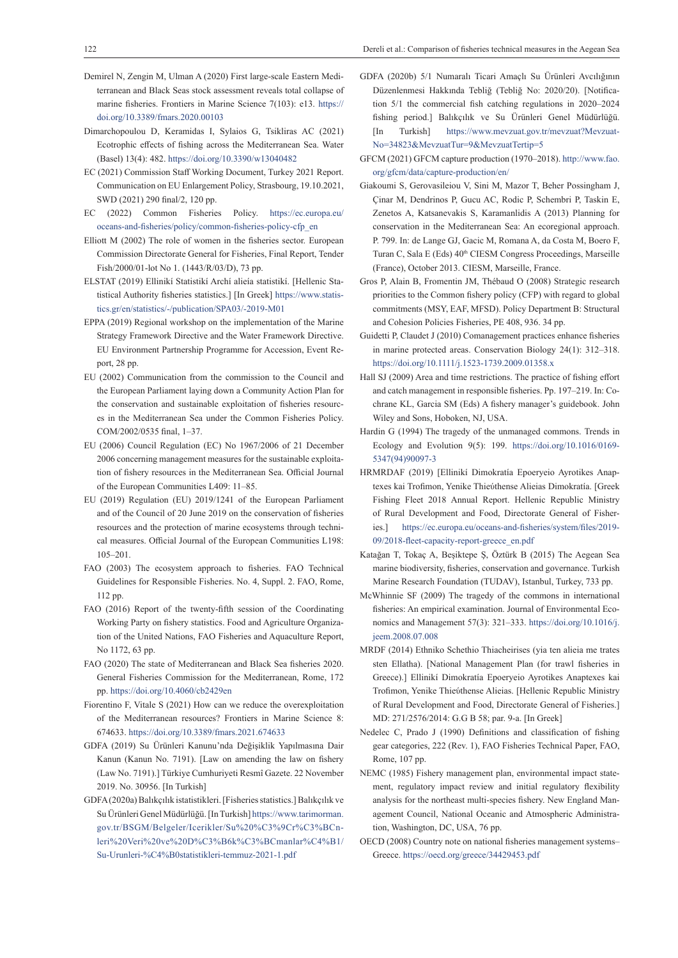- Demirel N, Zengin M, Ulman A (2020) First large-scale Eastern Mediterranean and Black Seas stock assessment reveals total collapse of marine fisheries. Frontiers in Marine Science 7(103): e13. [https://](https://doi.org/10.3389/fmars.2020.00103) [doi.org/10.3389/fmars.2020.00103](https://doi.org/10.3389/fmars.2020.00103)
- Dimarchopoulou D, Keramidas I, Sylaios G, Tsikliras AC (2021) Ecotrophic effects of fishing across the Mediterranean Sea. Water (Basel) 13(4): 482. <https://doi.org/10.3390/w13040482>
- EC (2021) Commission Staff Working Document, Turkey 2021 Report. Communication on EU Enlargement Policy, Strasbourg, 19.10.2021, SWD (2021) 290 final/2, 120 pp.
- EC (2022) Common Fisheries Policy. [https://ec.europa.eu/](https://ec.europa.eu/oceans-and-fisheries/policy/common-fisheries-policy-cfp_en) [oceans-and-fisheries/policy/common-fisheries-policy-cfp\\_en](https://ec.europa.eu/oceans-and-fisheries/policy/common-fisheries-policy-cfp_en)
- Elliott M (2002) The role of women in the fisheries sector. European Commission Directorate General for Fisheries, Final Report, Tender Fish/2000/01-lot No 1. (1443/R/03/D), 73 pp.
- ELSTAT (2019) Ellinikí Statistikí Archí alieía statistikí. [Hellenic Statistical Authority fisheries statistics.] [In Greek] [https://www.statis](https://www.statistics.gr/en/statistics/-/publication/SPA03/-2019-M01)[tics.gr/en/statistics/-/publication/SPA03/-2019-M01](https://www.statistics.gr/en/statistics/-/publication/SPA03/-2019-M01)
- EPPA (2019) Regional workshop on the implementation of the Marine Strategy Framework Directive and the Water Framework Directive. EU Environment Partnership Programme for Accession, Event Report, 28 pp.
- EU (2002) Communication from the commission to the Council and the European Parliament laying down a Community Action Plan for the conservation and sustainable exploitation of fisheries resources in the Mediterranean Sea under the Common Fisheries Policy. COM/2002/0535 final, 1–37.
- EU (2006) Council Regulation (EC) No 1967/2006 of 21 December 2006 concerning management measures for the sustainable exploitation of fishery resources in the Mediterranean Sea. Official Journal of the European Communities L409: 11–85.
- EU (2019) Regulation (EU) 2019/1241 of the European Parliament and of the Council of 20 June 2019 on the conservation of fisheries resources and the protection of marine ecosystems through technical measures. Official Journal of the European Communities L198: 105–201.
- FAO (2003) The ecosystem approach to fisheries. FAO Technical Guidelines for Responsible Fisheries. No. 4, Suppl. 2. FAO, Rome, 112 pp.
- FAO (2016) Report of the twenty-fifth session of the Coordinating Working Party on fishery statistics. Food and Agriculture Organization of the United Nations, FAO Fisheries and Aquaculture Report, No 1172, 63 pp.
- FAO (2020) The state of Mediterranean and Black Sea fisheries 2020. General Fisheries Commission for the Mediterranean, Rome, 172 pp.<https://doi.org/10.4060/cb2429en>
- Fiorentino F, Vitale S (2021) How can we reduce the overexploitation of the Mediterranean resources? Frontiers in Marine Science 8: 674633.<https://doi.org/10.3389/fmars.2021.674633>
- GDFA (2019) Su Ürünleri Kanunu'nda Değişiklik Yapılmasına Dair Kanun (Kanun No. 7191). [Law on amending the law on fishery (Law No. 7191).] Türkiye Cumhuriyeti Resmî Gazete. 22 November 2019. No. 30956. [In Turkish]
- GDFA (2020a) Balıkçılık istatistikleri. [Fisheries statistics.] Balıkçılık ve Su Ürünleri Genel Müdürlüğü. [In Turkish] [https://www.tarimorman.](https://www.tarimorman.gov.tr/BSGM/Belgeler/Icerikler/Su%20%C3%9Cr%C3%BCnleri%20Veri%20ve%20D%C3%B6k%C3%BCmanlar%C4%B1/Su-Urunleri-%C4%B0statistikleri-temmuz-2021-1.pdf) [gov.tr/BSGM/Belgeler/Icerikler/Su%20%C3%9Cr%C3%BCn](https://www.tarimorman.gov.tr/BSGM/Belgeler/Icerikler/Su%20%C3%9Cr%C3%BCnleri%20Veri%20ve%20D%C3%B6k%C3%BCmanlar%C4%B1/Su-Urunleri-%C4%B0statistikleri-temmuz-2021-1.pdf)[leri%20Veri%20ve%20D%C3%B6k%C3%BCmanlar%C4%B1/](https://www.tarimorman.gov.tr/BSGM/Belgeler/Icerikler/Su%20%C3%9Cr%C3%BCnleri%20Veri%20ve%20D%C3%B6k%C3%BCmanlar%C4%B1/Su-Urunleri-%C4%B0statistikleri-temmuz-2021-1.pdf) [Su-Urunleri-%C4%B0statistikleri-temmuz-2021-1.pdf](https://www.tarimorman.gov.tr/BSGM/Belgeler/Icerikler/Su%20%C3%9Cr%C3%BCnleri%20Veri%20ve%20D%C3%B6k%C3%BCmanlar%C4%B1/Su-Urunleri-%C4%B0statistikleri-temmuz-2021-1.pdf)
- GDFA (2020b) 5/1 Numaralı Ticari Amaçlı Su Ürünleri Avcılığının Düzenlenmesi Hakkında Tebliğ (Tebliğ No: 2020/20). [Notification 5/1 the commercial fish catching regulations in 2020–2024 fishing period.] Balıkçılık ve Su Ürünleri Genel Müdürlüğü. [In Turkish] [https://www.mevzuat.gov.tr/mevzuat?Mevzuat-](https://www.mevzuat.gov.tr/mevzuat?MevzuatNo=34823&MevzuatTur=9&MevzuatTertip=5)[No=34823&MevzuatTur=9&MevzuatTertip=5](https://www.mevzuat.gov.tr/mevzuat?MevzuatNo=34823&MevzuatTur=9&MevzuatTertip=5)
- GFCM (2021) GFCM capture production (1970–2018). [http://www.fao.](http://www.fao.org/gfcm/data/capture-production/en/) [org/gfcm/data/capture-production/en/](http://www.fao.org/gfcm/data/capture-production/en/)
- Giakoumi S, Gerovasileiou V, Sini M, Mazor T, Beher Possingham J, Çinar M, Dendrinos P, Gucu AC, Rodic P, Schembri P, Taskin E, Zenetos A, Katsanevakis S, Karamanlidis A (2013) Planning for conservation in the Mediterranean Sea: An ecoregional approach. P. 799. In: de Lange GJ, Gacic M, Romana A, da Costa M, Boero F, Turan C, Sala E (Eds) 40<sup>th</sup> CIESM Congress Proceedings, Marseille (France), October 2013. CIESM, Marseille, France.
- Gros P, Alain B, Fromentin JM, Thébaud O (2008) Strategic research priorities to the Common fishery policy (CFP) with regard to global commitments (MSY, EAF, MFSD). Policy Department B: Structural and Cohesion Policies Fisheries, PE 408, 936. 34 pp.
- Guidetti P, Claudet J (2010) Comanagement practices enhance fisheries in marine protected areas. Conservation Biology 24(1): 312–318. <https://doi.org/10.1111/j.1523-1739.2009.01358.x>
- Hall SJ (2009) Area and time restrictions. The practice of fishing effort and catch management in responsible fisheries. Pp. 197–219. In: Cochrane KL, Garcia SM (Eds) A fishery manager's guidebook. John Wiley and Sons, Hoboken, NJ, USA.
- Hardin G (1994) The tragedy of the unmanaged commons. Trends in Ecology and Evolution 9(5): 199. [https://doi.org/10.1016/0169-](https://doi.org/10.1016/0169-5347(94)90097-3) [5347\(94\)90097-3](https://doi.org/10.1016/0169-5347(94)90097-3)
- HRMRDAF (2019) [Ellinikí Dimokratía Epoeryeio Ayrotikes Anaptexes kai Trofimon, Yenike Thieύthense Alieias Dimokratía. [Greek Fishing Fleet 2018 Annual Report. Hellenic Republic Ministry of Rural Development and Food, Directorate General of Fisheries.] [https://ec.europa.eu/oceans-and-fisheries/system/files/2019-](https://ec.europa.eu/oceans-and-fisheries/system/files/2019-09/2018-fleet-capacity-report-greece_en.pdf) [09/2018-fleet-capacity-report-greece\\_en.pdf](https://ec.europa.eu/oceans-and-fisheries/system/files/2019-09/2018-fleet-capacity-report-greece_en.pdf)
- Katağan T, Tokaç A, Beşiktepe Ş, Öztürk B (2015) The Aegean Sea marine biodiversity, fisheries, conservation and governance. Turkish Marine Research Foundation (TUDAV), Istanbul, Turkey, 733 pp.
- McWhinnie SF (2009) The tragedy of the commons in international fisheries: An empirical examination. Journal of Environmental Economics and Management 57(3): 321–333. [https://doi.org/10.1016/j.](https://doi.org/10.1016/j.jeem.2008.07.008) ieem.2008.07.008
- MRDF (2014) Ethniko Schethio Thiacheirises (yia ten alieia me trates sten Ellatha). [National Management Plan (for trawl fisheries in Greece).] Ellinikí Dimokratía Epoeryeio Ayrotikes Anaptexes kai Trofimon, Yenike Thieύthense Alieias. [Hellenic Republic Ministry of Rural Development and Food, Directorate General of Fisheries.] MD: 271/2576/2014: G.G B 58; par. 9-a. [In Greek]
- Nedelec C, Prado J (1990) Definitions and classification of fishing gear categories, 222 (Rev. 1), FAO Fisheries Technical Paper, FAO, Rome, 107 pp.
- NEMC (1985) Fishery management plan, environmental impact statement, regulatory impact review and initial regulatory flexibility analysis for the northeast multi-species fishery. New England Management Council, National Oceanic and Atmospheric Administration, Washington, DC, USA, 76 pp.
- OECD (2008) Country note on national fisheries management systems– Greece.<https://oecd.org/greece/34429453.pdf>